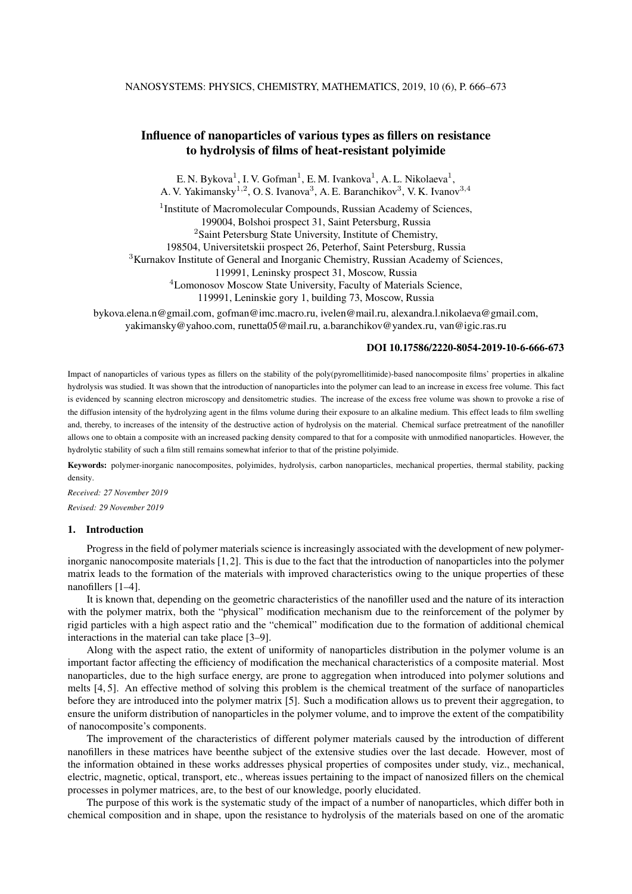# Influence of nanoparticles of various types as fillers on resistance to hydrolysis of films of heat-resistant polyimide

E. N. Bykova<sup>1</sup>, I. V. Gofman<sup>1</sup>, E. M. Ivankova<sup>1</sup>, A. L. Nikolaeva<sup>1</sup>, A. V. Yakimansky<sup>1,2</sup>, O. S. Ivanova<sup>3</sup>, A. E. Baranchikov<sup>3</sup>, V. K. Ivanov<sup>3,4</sup>

<sup>1</sup> Institute of Macromolecular Compounds, Russian Academy of Sciences, 199004, Bolshoi prospect 31, Saint Petersburg, Russia <sup>2</sup>Saint Petersburg State University, Institute of Chemistry, 198504, Universitetskii prospect 26, Peterhof, Saint Petersburg, Russia <sup>3</sup>Kurnakov Institute of General and Inorganic Chemistry, Russian Academy of Sciences,

119991, Leninsky prospect 31, Moscow, Russia

<sup>4</sup>Lomonosov Moscow State University, Faculty of Materials Science,

119991, Leninskie gory 1, building 73, Moscow, Russia

bykova.elena.n@gmail.com, gofman@imc.macro.ru, ivelen@mail.ru, alexandra.l.nikolaeva@gmail.com, yakimansky@yahoo.com, runetta05@mail.ru, a.baranchikov@yandex.ru, van@igic.ras.ru

## DOI 10.17586/2220-8054-2019-10-6-666-673

Impact of nanoparticles of various types as fillers on the stability of the poly(pyromellitimide)-based nanocomposite films' properties in alkaline hydrolysis was studied. It was shown that the introduction of nanoparticles into the polymer can lead to an increase in excess free volume. This fact is evidenced by scanning electron microscopy and densitometric studies. The increase of the excess free volume was shown to provoke a rise of the diffusion intensity of the hydrolyzing agent in the films volume during their exposure to an alkaline medium. This effect leads to film swelling and, thereby, to increases of the intensity of the destructive action of hydrolysis on the material. Chemical surface pretreatment of the nanofiller allows one to obtain a composite with an increased packing density compared to that for a composite with unmodified nanoparticles. However, the hydrolytic stability of such a film still remains somewhat inferior to that of the pristine polyimide.

Keywords: polymer-inorganic nanocomposites, polyimides, hydrolysis, carbon nanoparticles, mechanical properties, thermal stability, packing density.

*Received: 27 November 2019 Revised: 29 November 2019*

### 1. Introduction

Progress in the field of polymer materials science is increasingly associated with the development of new polymerinorganic nanocomposite materials [1,2]. This is due to the fact that the introduction of nanoparticles into the polymer matrix leads to the formation of the materials with improved characteristics owing to the unique properties of these nanofillers [1–4].

It is known that, depending on the geometric characteristics of the nanofiller used and the nature of its interaction with the polymer matrix, both the "physical" modification mechanism due to the reinforcement of the polymer by rigid particles with a high aspect ratio and the "chemical" modification due to the formation of additional chemical interactions in the material can take place [3–9].

Along with the aspect ratio, the extent of uniformity of nanoparticles distribution in the polymer volume is an important factor affecting the efficiency of modification the mechanical characteristics of a composite material. Most nanoparticles, due to the high surface energy, are prone to aggregation when introduced into polymer solutions and melts [4, 5]. An effective method of solving this problem is the chemical treatment of the surface of nanoparticles before they are introduced into the polymer matrix [5]. Such a modification allows us to prevent their aggregation, to ensure the uniform distribution of nanoparticles in the polymer volume, and to improve the extent of the compatibility of nanocomposite's components.

The improvement of the characteristics of different polymer materials caused by the introduction of different nanofillers in these matrices have beenthe subject of the extensive studies over the last decade. However, most of the information obtained in these works addresses physical properties of composites under study, viz., mechanical, electric, magnetic, optical, transport, etc., whereas issues pertaining to the impact of nanosized fillers on the chemical processes in polymer matrices, are, to the best of our knowledge, poorly elucidated.

The purpose of this work is the systematic study of the impact of a number of nanoparticles, which differ both in chemical composition and in shape, upon the resistance to hydrolysis of the materials based on one of the aromatic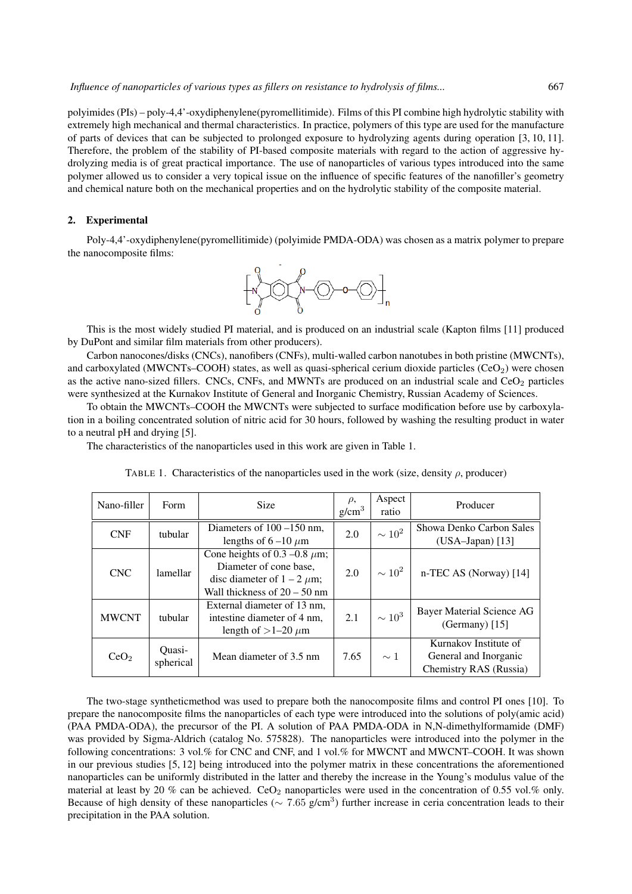polyimides (PIs) – poly-4,4'-oxydiphenylene(pyromellitimide). Films of this PI combine high hydrolytic stability with extremely high mechanical and thermal characteristics. In practice, polymers of this type are used for the manufacture of parts of devices that can be subjected to prolonged exposure to hydrolyzing agents during operation [3, 10, 11]. Therefore, the problem of the stability of PI-based composite materials with regard to the action of aggressive hydrolyzing media is of great practical importance. The use of nanoparticles of various types introduced into the same polymer allowed us to consider a very topical issue on the influence of specific features of the nanofiller's geometry and chemical nature both on the mechanical properties and on the hydrolytic stability of the composite material.

#### 2. Experimental

Poly-4,4'-oxydiphenylene(pyromellitimide) (polyimide PMDA-ODA) was chosen as a matrix polymer to prepare the nanocomposite films:



This is the most widely studied PI material, and is produced on an industrial scale (Kapton films [11] produced by DuPont and similar film materials from other producers).

Carbon nanocones/disks (CNCs), nanofibers (CNFs), multi-walled carbon nanotubes in both pristine (MWCNTs), and carboxylated (MWCNTs–COOH) states, as well as quasi-spherical cerium dioxide particles (CeO<sub>2</sub>) were chosen as the active nano-sized fillers. CNCs, CNFs, and MWNTs are produced on an industrial scale and  $CeO<sub>2</sub>$  particles were synthesized at the Kurnakov Institute of General and Inorganic Chemistry, Russian Academy of Sciences.

To obtain the MWCNTs–COOH the MWCNTs were subjected to surface modification before use by carboxylation in a boiling concentrated solution of nitric acid for 30 hours, followed by washing the resulting product in water to a neutral pH and drying [5].

The characteristics of the nanoparticles used in this work are given in Table 1.

| Nano-filler      | Form                | <b>Size</b>                                                                                                                       | $\rho$ ,<br>g/cm <sup>3</sup> | Aspect<br>ratio | Producer                                                                 |
|------------------|---------------------|-----------------------------------------------------------------------------------------------------------------------------------|-------------------------------|-----------------|--------------------------------------------------------------------------|
| <b>CNF</b>       | tubular             | Diameters of $100 - 150$ nm,<br>lengths of $6-10 \mu m$                                                                           | 2.0                           | $\sim 10^2$     | Showa Denko Carbon Sales<br>$(USA-Japan)$ [13]                           |
| <b>CNC</b>       | lamellar            | Cone heights of 0.3 –0.8 $\mu$ m;<br>Diameter of cone base.<br>disc diameter of $1 - 2 \mu m$ ;<br>Wall thickness of $20 - 50$ nm | 2.0                           | $\sim 10^2$     | n-TEC AS (Norway) [14]                                                   |
| <b>MWCNT</b>     | tubular             | External diameter of 13 nm,<br>intestine diameter of 4 nm.<br>length of $>1-20 \mu m$                                             | 2.1                           | $\sim 10^3$     | Bayer Material Science AG<br>(Germany) $[15]$                            |
| CeO <sub>2</sub> | Ouasi-<br>spherical | Mean diameter of 3.5 nm                                                                                                           | 7.65                          | $\sim$ 1        | Kurnakov Institute of<br>General and Inorganic<br>Chemistry RAS (Russia) |

TABLE 1. Characteristics of the nanoparticles used in the work (size, density  $\rho$ , producer)

The two-stage syntheticmethod was used to prepare both the nanocomposite films and control PI ones [10]. To prepare the nanocomposite films the nanoparticles of each type were introduced into the solutions of poly(amic acid) (PAA PMDA-ODA), the precursor of the PI. A solution of PAA PMDA-ODA in N,N-dimethylformamide (DMF) was provided by Sigma-Aldrich (catalog No. 575828). The nanoparticles were introduced into the polymer in the following concentrations: 3 vol.% for CNC and CNF, and 1 vol.% for MWCNT and MWCNT–COOH. It was shown in our previous studies [5, 12] being introduced into the polymer matrix in these concentrations the aforementioned nanoparticles can be uniformly distributed in the latter and thereby the increase in the Young's modulus value of the material at least by 20 % can be achieved. CeO<sub>2</sub> nanoparticles were used in the concentration of 0.55 vol.% only. Because of high density of these nanoparticles ( $\sim 7.65$  g/cm<sup>3</sup>) further increase in ceria concentration leads to their precipitation in the PAA solution.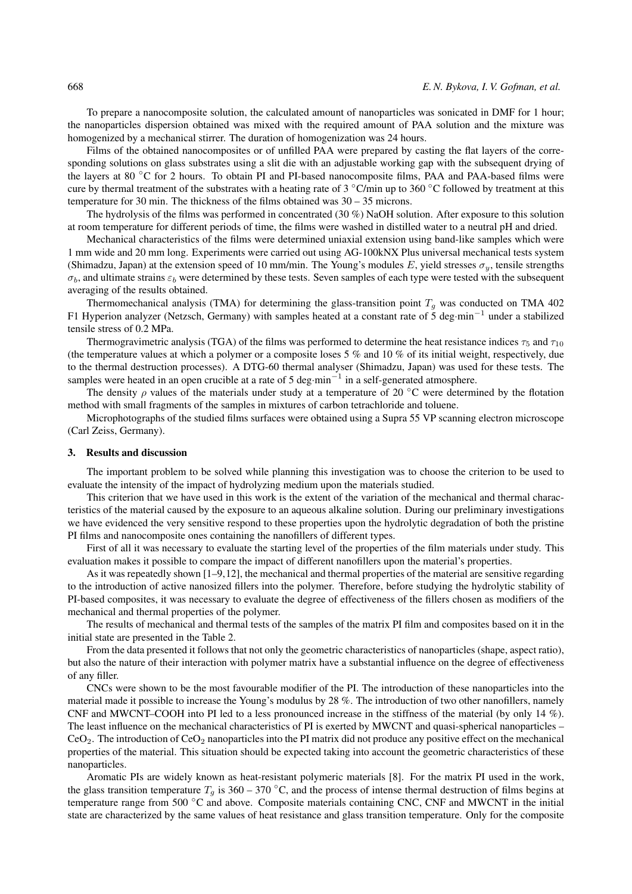To prepare a nanocomposite solution, the calculated amount of nanoparticles was sonicated in DMF for 1 hour; the nanoparticles dispersion obtained was mixed with the required amount of PAA solution and the mixture was homogenized by a mechanical stirrer. The duration of homogenization was 24 hours.

Films of the obtained nanocomposites or of unfilled PAA were prepared by casting the flat layers of the corresponding solutions on glass substrates using a slit die with an adjustable working gap with the subsequent drying of the layers at 80 ◦C for 2 hours. To obtain PI and PI-based nanocomposite films, PAA and PAA-based films were cure by thermal treatment of the substrates with a heating rate of 3 ◦C/min up to 360 ◦C followed by treatment at this temperature for 30 min. The thickness of the films obtained was 30 – 35 microns.

The hydrolysis of the films was performed in concentrated (30 %) NaOH solution. After exposure to this solution at room temperature for different periods of time, the films were washed in distilled water to a neutral pH and dried.

Mechanical characteristics of the films were determined uniaxial extension using band-like samples which were 1 mm wide and 20 mm long. Experiments were carried out using AG-100kNX Plus universal mechanical tests system (Shimadzu, Japan) at the extension speed of 10 mm/min. The Young's modules E, yield stresses  $\sigma_u$ , tensile strengths  $\sigma_b$ , and ultimate strains  $\varepsilon_b$  were determined by these tests. Seven samples of each type were tested with the subsequent averaging of the results obtained.

Thermomechanical analysis (TMA) for determining the glass-transition point  $T_g$  was conducted on TMA 402 F1 Hyperion analyzer (Netzsch, Germany) with samples heated at a constant rate of 5 deg·min−<sup>1</sup> under a stabilized tensile stress of 0.2 MPa.

Thermogravimetric analysis (TGA) of the films was performed to determine the heat resistance indices  $\tau_5$  and  $\tau_{10}$ (the temperature values at which a polymer or a composite loses 5  $\%$  and 10  $\%$  of its initial weight, respectively, due to the thermal destruction processes). A DTG-60 thermal analyser (Shimadzu, Japan) was used for these tests. The samples were heated in an open crucible at a rate of 5 deg·min<sup>-1</sup> in a self-generated atmosphere.

The density  $\rho$  values of the materials under study at a temperature of 20 °C were determined by the flotation method with small fragments of the samples in mixtures of carbon tetrachloride and toluene.

Microphotographs of the studied films surfaces were obtained using a Supra 55 VP scanning electron microscope (Carl Zeiss, Germany).

#### 3. Results and discussion

The important problem to be solved while planning this investigation was to choose the criterion to be used to evaluate the intensity of the impact of hydrolyzing medium upon the materials studied.

This criterion that we have used in this work is the extent of the variation of the mechanical and thermal characteristics of the material caused by the exposure to an aqueous alkaline solution. During our preliminary investigations we have evidenced the very sensitive respond to these properties upon the hydrolytic degradation of both the pristine PI films and nanocomposite ones containing the nanofillers of different types.

First of all it was necessary to evaluate the starting level of the properties of the film materials under study. This evaluation makes it possible to compare the impact of different nanofillers upon the material's properties.

As it was repeatedly shown [1–9,12], the mechanical and thermal properties of the material are sensitive regarding to the introduction of active nanosized fillers into the polymer. Therefore, before studying the hydrolytic stability of PI-based composites, it was necessary to evaluate the degree of effectiveness of the fillers chosen as modifiers of the mechanical and thermal properties of the polymer.

The results of mechanical and thermal tests of the samples of the matrix PI film and composites based on it in the initial state are presented in the Table 2.

From the data presented it follows that not only the geometric characteristics of nanoparticles (shape, aspect ratio), but also the nature of their interaction with polymer matrix have a substantial influence on the degree of effectiveness of any filler.

CNCs were shown to be the most favourable modifier of the PI. The introduction of these nanoparticles into the material made it possible to increase the Young's modulus by 28 %. The introduction of two other nanofillers, namely CNF and MWCNT–COOH into PI led to a less pronounced increase in the stiffness of the material (by only 14 %). The least influence on the mechanical characteristics of PI is exerted by MWCNT and quasi-spherical nanoparticles –  $CeO<sub>2</sub>$ . The introduction of  $CeO<sub>2</sub>$  nanoparticles into the PI matrix did not produce any positive effect on the mechanical properties of the material. This situation should be expected taking into account the geometric characteristics of these nanoparticles.

Aromatic PIs are widely known as heat-resistant polymeric materials [8]. For the matrix PI used in the work, the glass transition temperature  $T<sub>g</sub>$  is 360 – 370 °C, and the process of intense thermal destruction of films begins at temperature range from 500 °C and above. Composite materials containing CNC, CNF and MWCNT in the initial state are characterized by the same values of heat resistance and glass transition temperature. Only for the composite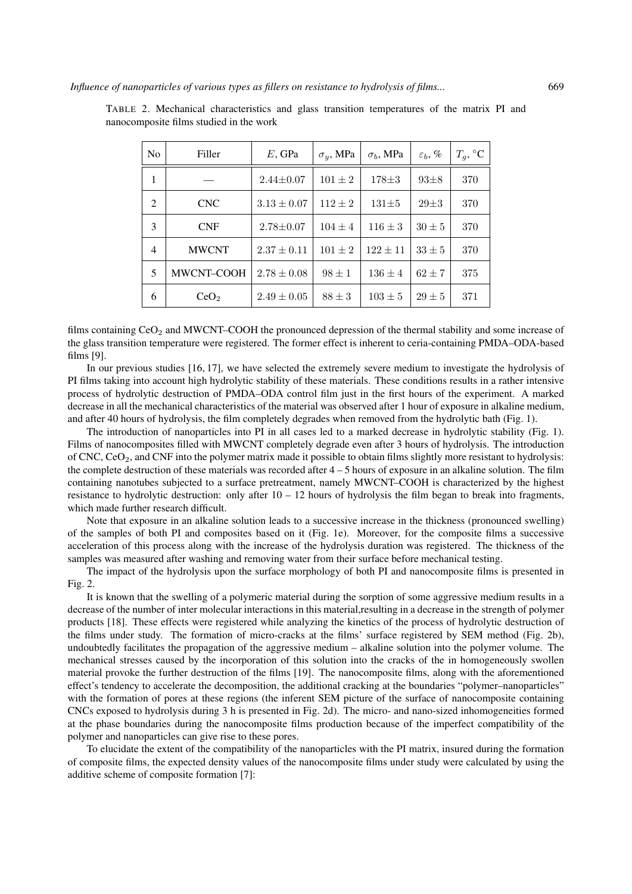| N <sub>0</sub> | Filler           | $E$ , GPa       | $\sigma_y$ , MPa | $\sigma_b$ , MPa | $\varepsilon_b, \%$ | $T_q$ , °C |
|----------------|------------------|-----------------|------------------|------------------|---------------------|------------|
| 1              |                  | $2.44 \pm 0.07$ | $101 \pm 2$      | $178 + 3$        | $93\pm8$            | 370        |
| 2              | <b>CNC</b>       | $3.13 \pm 0.07$ | $112 \pm 2$      | $131\pm5$        | $29 + 3$            | 370        |
| 3              | <b>CNF</b>       | $2.78 \pm 0.07$ | $104 \pm 4$      | $116 \pm 3$      | $30 \pm 5$          | 370        |
| $\overline{4}$ | <b>MWCNT</b>     | $2.37 \pm 0.11$ | $101 \pm 2$      | $122 \pm 11$     | $33\pm5$            | 370        |
| 5              | MWCNT-COOH       | $2.78 \pm 0.08$ | $98 \pm 1$       | $136 \pm 4$      | $62 \pm 7$          | 375        |
| 6              | CeO <sub>2</sub> | $2.49 \pm 0.05$ | $88 \pm 3$       | $103 \pm 5$      | $29 \pm 5$          | 371        |

TABLE 2. Mechanical characteristics and glass transition temperatures of the matrix PI and nanocomposite films studied in the work

films containing  $CeO<sub>2</sub>$  and MWCNT–COOH the pronounced depression of the thermal stability and some increase of the glass transition temperature were registered. The former effect is inherent to ceria-containing PMDA–ODA-based films [9].

In our previous studies [16, 17], we have selected the extremely severe medium to investigate the hydrolysis of PI films taking into account high hydrolytic stability of these materials. These conditions results in a rather intensive process of hydrolytic destruction of PMDA–ODA control film just in the first hours of the experiment. A marked decrease in all the mechanical characteristics of the material was observed after 1 hour of exposure in alkaline medium, and after 40 hours of hydrolysis, the film completely degrades when removed from the hydrolytic bath (Fig. 1).

The introduction of nanoparticles into PI in all cases led to a marked decrease in hydrolytic stability (Fig. 1). Films of nanocomposites filled with MWCNT completely degrade even after 3 hours of hydrolysis. The introduction of CNC, CeO<sub>2</sub>, and CNF into the polymer matrix made it possible to obtain films slightly more resistant to hydrolysis: the complete destruction of these materials was recorded after 4 – 5 hours of exposure in an alkaline solution. The film containing nanotubes subjected to a surface pretreatment, namely MWCNT–COOH is characterized by the highest resistance to hydrolytic destruction: only after  $10 - 12$  hours of hydrolysis the film began to break into fragments, which made further research difficult.

Note that exposure in an alkaline solution leads to a successive increase in the thickness (pronounced swelling) of the samples of both PI and composites based on it (Fig. 1e). Moreover, for the composite films a successive acceleration of this process along with the increase of the hydrolysis duration was registered. The thickness of the samples was measured after washing and removing water from their surface before mechanical testing.

The impact of the hydrolysis upon the surface morphology of both PI and nanocomposite films is presented in Fig. 2.

It is known that the swelling of a polymeric material during the sorption of some aggressive medium results in a decrease of the number of inter molecular interactions in this material,resulting in a decrease in the strength of polymer products [18]. These effects were registered while analyzing the kinetics of the process of hydrolytic destruction of the films under study. The formation of micro-cracks at the films' surface registered by SEM method (Fig. 2b), undoubtedly facilitates the propagation of the aggressive medium – alkaline solution into the polymer volume. The mechanical stresses caused by the incorporation of this solution into the cracks of the in homogeneously swollen material provoke the further destruction of the films [19]. The nanocomposite films, along with the aforementioned effect's tendency to accelerate the decomposition, the additional cracking at the boundaries "polymer–nanoparticles" with the formation of pores at these regions (the inferent SEM picture of the surface of nanocomposite containing CNCs exposed to hydrolysis during 3 h is presented in Fig. 2d). The micro- and nano-sized inhomogeneities formed at the phase boundaries during the nanocomposite films production because of the imperfect compatibility of the polymer and nanoparticles can give rise to these pores.

To elucidate the extent of the compatibility of the nanoparticles with the PI matrix, insured during the formation of composite films, the expected density values of the nanocomposite films under study were calculated by using the additive scheme of composite formation [7]: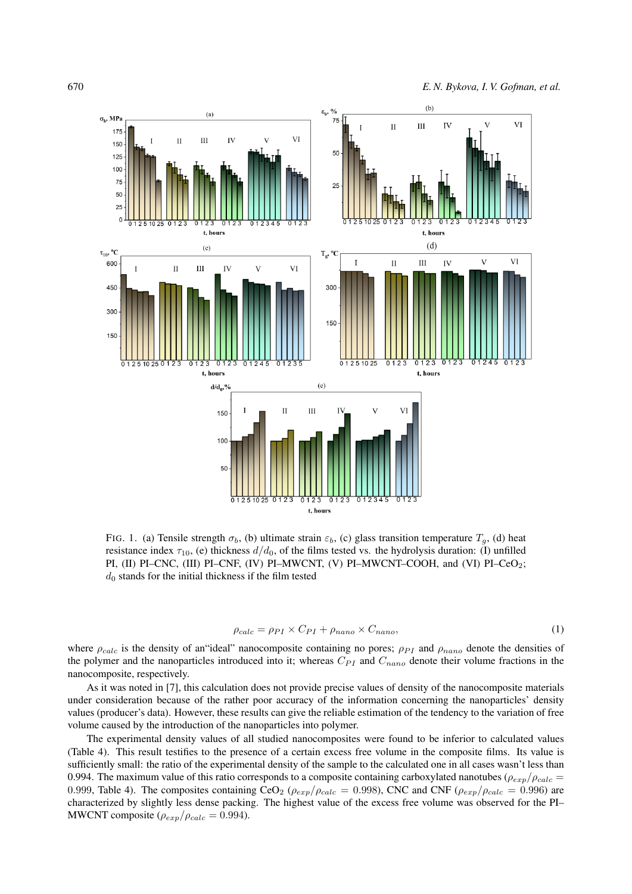

FIG. 1. (a) Tensile strength  $\sigma_b$ , (b) ultimate strain  $\varepsilon_b$ , (c) glass transition temperature  $T_g$ , (d) heat resistance index  $\tau_{10}$ , (e) thickness  $d/d_0$ , of the films tested vs. the hydrolysis duration: (I) unfilled PI, (II) PI–CNC, (III) PI–CNF, (IV) PI–MWCNT, (V) PI–MWCNT–COOH, and (VI) PI–CeO2;  $d_0$  stands for the initial thickness if the film tested

$$
\rho_{calc} = \rho_{PI} \times C_{PI} + \rho_{nano} \times C_{nano},\tag{1}
$$

where  $\rho_{calc}$  is the density of an"ideal" nanocomposite containing no pores;  $\rho_{PI}$  and  $\rho_{nano}$  denote the densities of the polymer and the nanoparticles introduced into it; whereas  $C_{PI}$  and  $C_{nano}$  denote their volume fractions in the nanocomposite, respectively.

As it was noted in [7], this calculation does not provide precise values of density of the nanocomposite materials under consideration because of the rather poor accuracy of the information concerning the nanoparticles' density values (producer's data). However, these results can give the reliable estimation of the tendency to the variation of free volume caused by the introduction of the nanoparticles into polymer.

The experimental density values of all studied nanocomposites were found to be inferior to calculated values (Table 4). This result testifies to the presence of a certain excess free volume in the composite films. Its value is sufficiently small: the ratio of the experimental density of the sample to the calculated one in all cases wasn't less than 0.994. The maximum value of this ratio corresponds to a composite containing carboxylated nanotubes ( $\rho_{exp}/\rho_{calc}$  = 0.999, Table 4). The composites containing CeO<sub>2</sub> ( $\rho_{exp}/\rho_{calc} = 0.998$ ), CNC and CNF ( $\rho_{exp}/\rho_{calc} = 0.996$ ) are characterized by slightly less dense packing. The highest value of the excess free volume was observed for the PI– MWCNT composite  $(\rho_{exp}/\rho_{calc} = 0.994)$ .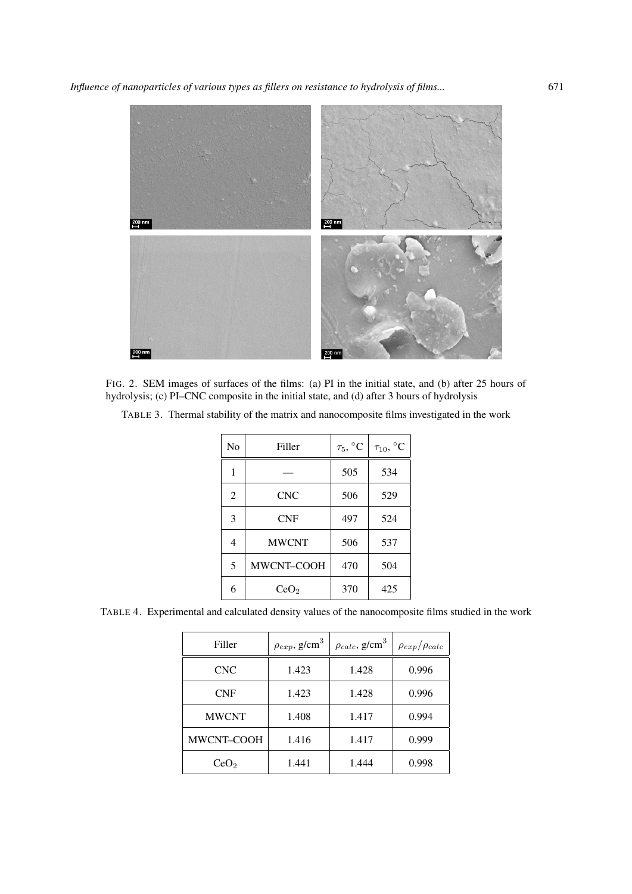

FIG. 2. SEM images of surfaces of the films: (a) PI in the initial state, and (b) after 25 hours of hydrolysis; (c) PI–CNC composite in the initial state, and (d) after 3 hours of hydrolysis

| No | Filler           | $\tau_5, {}^{\circ}C$ | $\tau_{10}, {}^{\circ}C$ |
|----|------------------|-----------------------|--------------------------|
| 1  |                  | 505                   | 534                      |
| 2  | <b>CNC</b>       | 506                   | 529                      |
| 3  | <b>CNF</b>       | 497                   | 524                      |
| 4  | <b>MWCNT</b>     | 506                   | 537                      |
| 5  | MWCNT-COOH       | 470                   | 504                      |
| 6  | CeO <sub>2</sub> | 370                   | 425                      |

TABLE 3. Thermal stability of the matrix and nanocomposite films investigated in the work

TABLE 4. Experimental and calculated density values of the nanocomposite films studied in the work

| Filler            | $\rho_{exp}$ , g/cm <sup>3</sup> | $\rho_{calc}$ , g/cm <sup>3</sup> | $\rho_{exp}/\rho_{calc}$ |
|-------------------|----------------------------------|-----------------------------------|--------------------------|
| <b>CNC</b>        | 1.423                            | 1.428                             | 0.996                    |
| <b>CNF</b>        | 1.423                            | 1.428                             | 0.996                    |
| <b>MWCNT</b>      | 1.408                            | 1.417                             | 0.994                    |
| <b>MWCNT-COOH</b> | 1.416                            | 1.417                             | 0.999                    |
| CeO <sub>2</sub>  | 1.441                            | 1.444                             | 0.998                    |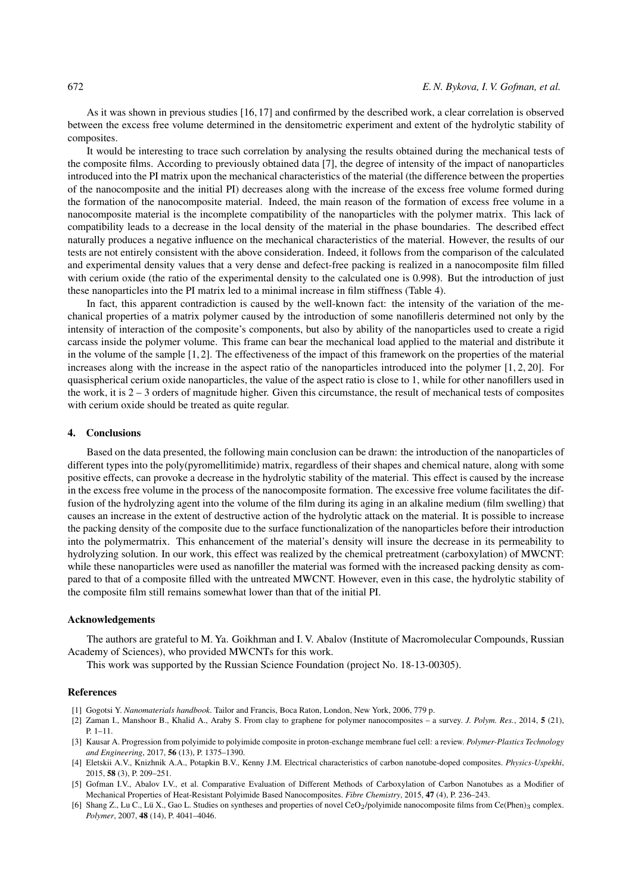As it was shown in previous studies [16, 17] and confirmed by the described work, a clear correlation is observed between the excess free volume determined in the densitometric experiment and extent of the hydrolytic stability of composites.

It would be interesting to trace such correlation by analysing the results obtained during the mechanical tests of the composite films. According to previously obtained data [7], the degree of intensity of the impact of nanoparticles introduced into the PI matrix upon the mechanical characteristics of the material (the difference between the properties of the nanocomposite and the initial PI) decreases along with the increase of the excess free volume formed during the formation of the nanocomposite material. Indeed, the main reason of the formation of excess free volume in a nanocomposite material is the incomplete compatibility of the nanoparticles with the polymer matrix. This lack of compatibility leads to a decrease in the local density of the material in the phase boundaries. The described effect naturally produces a negative influence on the mechanical characteristics of the material. However, the results of our tests are not entirely consistent with the above consideration. Indeed, it follows from the comparison of the calculated and experimental density values that a very dense and defect-free packing is realized in a nanocomposite film filled with cerium oxide (the ratio of the experimental density to the calculated one is 0.998). But the introduction of just these nanoparticles into the PI matrix led to a minimal increase in film stiffness (Table 4).

In fact, this apparent contradiction is caused by the well-known fact: the intensity of the variation of the mechanical properties of a matrix polymer caused by the introduction of some nanofilleris determined not only by the intensity of interaction of the composite's components, but also by ability of the nanoparticles used to create a rigid carcass inside the polymer volume. This frame can bear the mechanical load applied to the material and distribute it in the volume of the sample [1, 2]. The effectiveness of the impact of this framework on the properties of the material increases along with the increase in the aspect ratio of the nanoparticles introduced into the polymer [1, 2, 20]. For quasispherical cerium oxide nanoparticles, the value of the aspect ratio is close to 1, while for other nanofillers used in the work, it is  $2 - 3$  orders of magnitude higher. Given this circumstance, the result of mechanical tests of composites with cerium oxide should be treated as quite regular.

#### 4. Conclusions

Based on the data presented, the following main conclusion can be drawn: the introduction of the nanoparticles of different types into the poly(pyromellitimide) matrix, regardless of their shapes and chemical nature, along with some positive effects, can provoke a decrease in the hydrolytic stability of the material. This effect is caused by the increase in the excess free volume in the process of the nanocomposite formation. The excessive free volume facilitates the diffusion of the hydrolyzing agent into the volume of the film during its aging in an alkaline medium (film swelling) that causes an increase in the extent of destructive action of the hydrolytic attack on the material. It is possible to increase the packing density of the composite due to the surface functionalization of the nanoparticles before their introduction into the polymermatrix. This enhancement of the material's density will insure the decrease in its permeability to hydrolyzing solution. In our work, this effect was realized by the chemical pretreatment (carboxylation) of MWCNT: while these nanoparticles were used as nanofiller the material was formed with the increased packing density as compared to that of a composite filled with the untreated MWCNT. However, even in this case, the hydrolytic stability of the composite film still remains somewhat lower than that of the initial PI.

### Acknowledgements

The authors are grateful to M. Ya. Goikhman and I. V. Abalov (Institute of Macromolecular Compounds, Russian Academy of Sciences), who provided MWCNTs for this work.

This work was supported by the Russian Science Foundation (project No. 18-13-00305).

#### References

- [1] Gogotsi Y. *Nanomaterials handbook*. Tailor and Francis, Boca Raton, London, New York, 2006, 779 p.
- [2] Zaman I., Manshoor B., Khalid A., Araby S. From clay to graphene for polymer nanocomposites a survey. *J. Polym. Res.*, 2014, 5 (21), P. 1–11.
- [3] Kausar A. Progression from polyimide to polyimide composite in proton-exchange membrane fuel cell: a review. *Polymer-Plastics Technology and Engineering*, 2017, 56 (13), P. 1375–1390.
- [4] Eletskii A.V., Knizhnik A.A., Potapkin B.V., Kenny J.M. Electrical characteristics of carbon nanotube-doped composites. *Physics-Uspekhi*, 2015, 58 (3), P. 209–251.
- [5] Gofman I.V., Abalov I.V., et al. Comparative Evaluation of Different Methods of Carboxylation of Carbon Nanotubes as a Modifier of Mechanical Properties of Heat-Resistant Polyimide Based Nanocomposites. *Fibre Chemistry*, 2015, 47 (4), P. 236–243.
- [6] Shang Z., Lu C., Lü X., Gao L. Studies on syntheses and properties of novel CeO<sub>2</sub>/polyimide nanocomposite films from Ce(Phen)<sub>3</sub> complex. *Polymer*, 2007, 48 (14), P. 4041–4046.